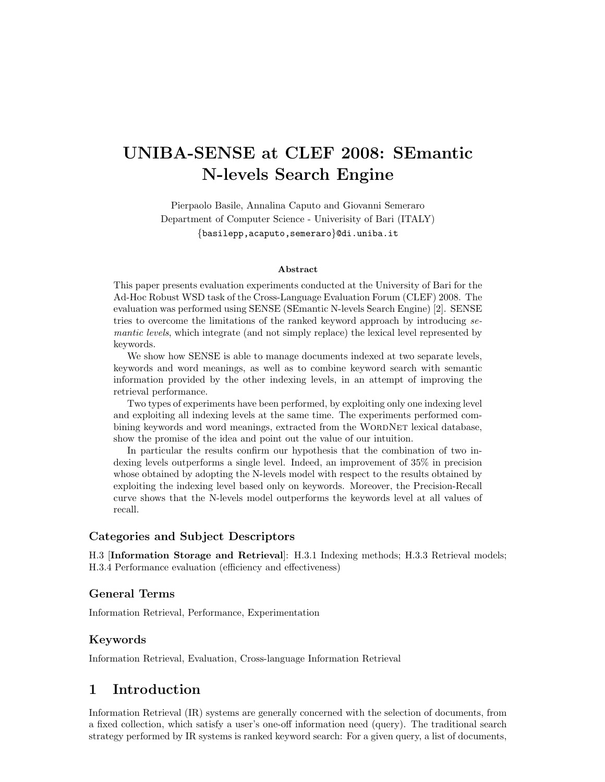# UNIBA-SENSE at CLEF 2008: SEmantic N-levels Search Engine

Pierpaolo Basile, Annalina Caputo and Giovanni Semeraro Department of Computer Science - Univerisity of Bari (ITALY) {basilepp,acaputo,semeraro}@di.uniba.it

#### Abstract

This paper presents evaluation experiments conducted at the University of Bari for the Ad-Hoc Robust WSD task of the Cross-Language Evaluation Forum (CLEF) 2008. The evaluation was performed using SENSE (SEmantic N-levels Search Engine) [2]. SENSE tries to overcome the limitations of the ranked keyword approach by introducing semantic levels, which integrate (and not simply replace) the lexical level represented by keywords.

We show how SENSE is able to manage documents indexed at two separate levels, keywords and word meanings, as well as to combine keyword search with semantic information provided by the other indexing levels, in an attempt of improving the retrieval performance.

Two types of experiments have been performed, by exploiting only one indexing level and exploiting all indexing levels at the same time. The experiments performed combining keywords and word meanings, extracted from the WORDNET lexical database, show the promise of the idea and point out the value of our intuition.

In particular the results confirm our hypothesis that the combination of two indexing levels outperforms a single level. Indeed, an improvement of 35% in precision whose obtained by adopting the N-levels model with respect to the results obtained by exploiting the indexing level based only on keywords. Moreover, the Precision-Recall curve shows that the N-levels model outperforms the keywords level at all values of recall.

### Categories and Subject Descriptors

H.3 [Information Storage and Retrieval]: H.3.1 Indexing methods; H.3.3 Retrieval models; H.3.4 Performance evaluation (efficiency and effectiveness)

### General Terms

Information Retrieval, Performance, Experimentation

#### Keywords

Information Retrieval, Evaluation, Cross-language Information Retrieval

## 1 Introduction

Information Retrieval (IR) systems are generally concerned with the selection of documents, from a fixed collection, which satisfy a user's one-off information need (query). The traditional search strategy performed by IR systems is ranked keyword search: For a given query, a list of documents,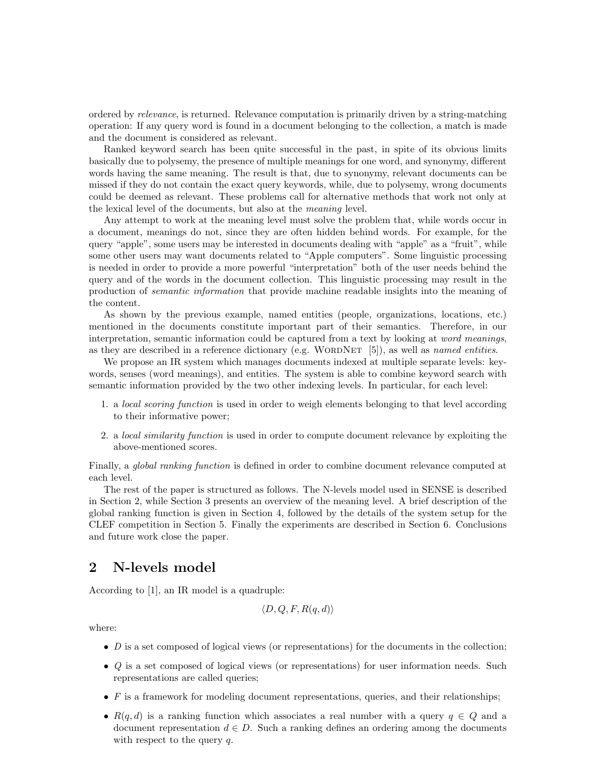ordered by relevance, is returned. Relevance computation is primarily driven by a string-matching operation: If any query word is found in a document belonging to the collection, a match is made and the document is considered as relevant.

Ranked keyword search has been quite successful in the past, in spite of its obvious limits basically due to polysemy, the presence of multiple meanings for one word, and synonymy, different words having the same meaning. The result is that, due to synonymy, relevant documents can be missed if they do not contain the exact query keywords, while, due to polysemy, wrong documents could be deemed as relevant. These problems call for alternative methods that work not only at the lexical level of the documents, but also at the meaning level.

Any attempt to work at the meaning level must solve the problem that, while words occur in a document, meanings do not, since they are often hidden behind words. For example, for the query "apple", some users may be interested in documents dealing with "apple" as a "fruit", while some other users may want documents related to "Apple computers". Some linguistic processing is needed in order to provide a more powerful "interpretation" both of the user needs behind the query and of the words in the document collection. This linguistic processing may result in the production of semantic information that provide machine readable insights into the meaning of the content.

As shown by the previous example, named entities (people, organizations, locations, etc.) mentioned in the documents constitute important part of their semantics. Therefore, in our interpretation, semantic information could be captured from a text by looking at word meanings, as they are described in a reference dictionary (e.g. WORDNET  $[5]$ ), as well as named entities.

We propose an IR system which manages documents indexed at multiple separate levels: keywords, senses (word meanings), and entities. The system is able to combine keyword search with semantic information provided by the two other indexing levels. In particular, for each level:

- 1. a local scoring function is used in order to weigh elements belonging to that level according to their informative power;
- 2. a local similarity function is used in order to compute document relevance by exploiting the above-mentioned scores.

Finally, a *global ranking function* is defined in order to combine document relevance computed at each level.

The rest of the paper is structured as follows. The N-levels model used in SENSE is described in Section 2, while Section 3 presents an overview of the meaning level. A brief description of the global ranking function is given in Section 4, followed by the details of the system setup for the CLEF competition in Section 5. Finally the experiments are described in Section 6. Conclusions and future work close the paper.

### 2 N-levels model

According to [1], an IR model is a quadruple:

$$
\langle D,Q,F,R(q,d)\rangle
$$

where:

- $\bullet$  *D* is a set composed of logical views (or representations) for the documents in the collection;
- Q is a set composed of logical views (or representations) for user information needs. Such representations are called queries;
- $\bullet$  F is a framework for modeling document representations, queries, and their relationships;
- $R(q, d)$  is a ranking function which associates a real number with a query  $q \in Q$  and a document representation  $d \in D$ . Such a ranking defines an ordering among the documents with respect to the query q.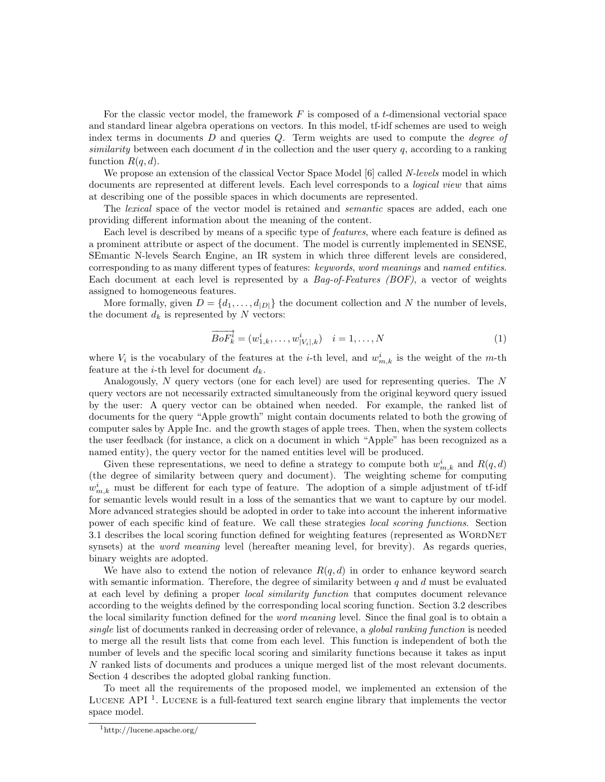For the classic vector model, the framework  $F$  is composed of a t-dimensional vectorial space and standard linear algebra operations on vectors. In this model, tf-idf schemes are used to weigh index terms in documents  $D$  and queries  $Q$ . Term weights are used to compute the *degree of* similarity between each document  $d$  in the collection and the user query  $q$ , according to a ranking function  $R(q, d)$ .

We propose an extension of the classical Vector Space Model [6] called N-levels model in which documents are represented at different levels. Each level corresponds to a *logical view* that aims at describing one of the possible spaces in which documents are represented.

The lexical space of the vector model is retained and semantic spaces are added, each one providing different information about the meaning of the content.

Each level is described by means of a specific type of features, where each feature is defined as a prominent attribute or aspect of the document. The model is currently implemented in SENSE, SEmantic N-levels Search Engine, an IR system in which three different levels are considered, corresponding to as many different types of features: keywords, word meanings and named entities. Each document at each level is represented by a *Bag-of-Features (BOF)*, a vector of weights assigned to homogeneous features.

More formally, given  $D = \{d_1, \ldots, d_{|D|}\}\)$  the document collection and N the number of levels, the document  $d_k$  is represented by N vectors:

$$
\overrightarrow{BoF_k^i} = (w_{1,k}^i, \dots, w_{|V_i|,k}^i) \quad i = 1, \dots, N
$$
\n(1)

where  $V_i$  is the vocabulary of the features at the *i*-th level, and  $w_{m,k}^i$  is the weight of the *m*-th feature at the *i*-th level for document  $d_k$ .

Analogously, N query vectors (one for each level) are used for representing queries. The N query vectors are not necessarily extracted simultaneously from the original keyword query issued by the user: A query vector can be obtained when needed. For example, the ranked list of documents for the query "Apple growth" might contain documents related to both the growing of computer sales by Apple Inc. and the growth stages of apple trees. Then, when the system collects the user feedback (for instance, a click on a document in which "Apple" has been recognized as a named entity), the query vector for the named entities level will be produced.

Given these representations, we need to define a strategy to compute both  $w_{m,k}^i$  and  $R(q, d)$ (the degree of similarity between query and document). The weighting scheme for computing  $w_{m,k}^i$  must be different for each type of feature. The adoption of a simple adjustment of tf-idf for semantic levels would result in a loss of the semantics that we want to capture by our model. More advanced strategies should be adopted in order to take into account the inherent informative power of each specific kind of feature. We call these strategies local scoring functions. Section 3.1 describes the local scoring function defined for weighting features (represented as WORDNET synsets) at the *word meaning* level (hereafter meaning level, for brevity). As regards queries, binary weights are adopted.

We have also to extend the notion of relevance  $R(q, d)$  in order to enhance keyword search with semantic information. Therefore, the degree of similarity between  $q$  and  $d$  must be evaluated at each level by defining a proper local similarity function that computes document relevance according to the weights defined by the corresponding local scoring function. Section 3.2 describes the local similarity function defined for the *word meaning* level. Since the final goal is to obtain a single list of documents ranked in decreasing order of relevance, a global ranking function is needed to merge all the result lists that come from each level. This function is independent of both the number of levels and the specific local scoring and similarity functions because it takes as input N ranked lists of documents and produces a unique merged list of the most relevant documents. Section 4 describes the adopted global ranking function.

To meet all the requirements of the proposed model, we implemented an extension of the LUCENE API<sup>1</sup>. LUCENE is a full-featured text search engine library that implements the vector space model.

<sup>1</sup>http://lucene.apache.org/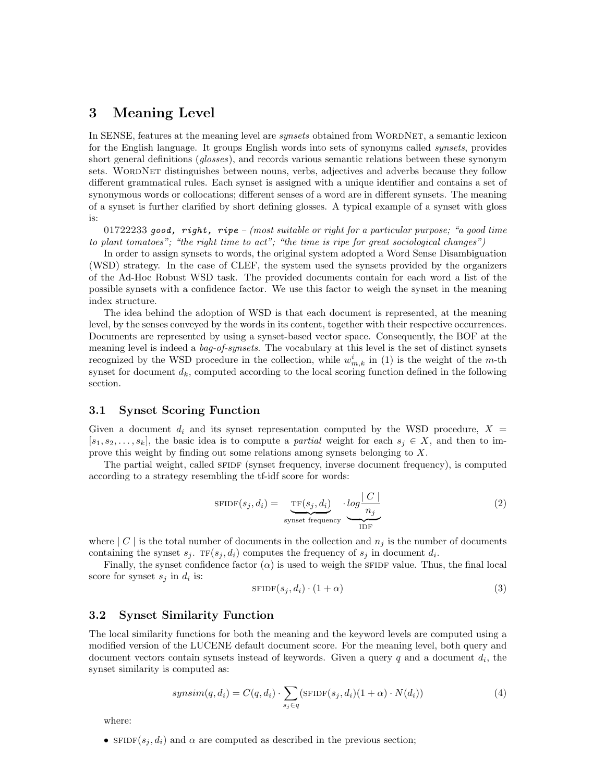### 3 Meaning Level

In SENSE, features at the meaning level are *synsets* obtained from WORDNET, a semantic lexicon for the English language. It groups English words into sets of synonyms called *synsets*, provides short general definitions (*glosses*), and records various semantic relations between these synonym sets. WORDNET distinguishes between nouns, verbs, adjectives and adverbs because they follow different grammatical rules. Each synset is assigned with a unique identifier and contains a set of synonymous words or collocations; different senses of a word are in different synsets. The meaning of a synset is further clarified by short defining glosses. A typical example of a synset with gloss is:

01722233 good, right, ripe – (most suitable or right for a particular purpose; "a good time to plant tomatoes"; "the right time to act"; "the time is ripe for great sociological changes")

In order to assign synsets to words, the original system adopted a Word Sense Disambiguation (WSD) strategy. In the case of CLEF, the system used the synsets provided by the organizers of the Ad-Hoc Robust WSD task. The provided documents contain for each word a list of the possible synsets with a confidence factor. We use this factor to weigh the synset in the meaning index structure.

The idea behind the adoption of WSD is that each document is represented, at the meaning level, by the senses conveyed by the words in its content, together with their respective occurrences. Documents are represented by using a synset-based vector space. Consequently, the BOF at the meaning level is indeed a *bag-of-synsets*. The vocabulary at this level is the set of distinct synsets recognized by the WSD procedure in the collection, while  $w_{m,k}^i$  in (1) is the weight of the m-th synset for document  $d_k$ , computed according to the local scoring function defined in the following section.

### 3.1 Synset Scoring Function

Given a document  $d_i$  and its synset representation computed by the WSD procedure,  $X =$  $[s_1, s_2, \ldots, s_k]$ , the basic idea is to compute a *partial* weight for each  $s_i \in X$ , and then to improve this weight by finding out some relations among synsets belonging to X.

The partial weight, called SFIDF (synset frequency, inverse document frequency), is computed according to a strategy resembling the tf-idf score for words:

$$
SFIDF(s_j, d_i) = \underbrace{TF(s_j, d_i)}_{\text{synset frequency}} \cdot \underbrace{log \frac{|C|}{n_j}}_{\text{IDF}}
$$
(2)

where  $|C|$  is the total number of documents in the collection and  $n<sub>j</sub>$  is the number of documents containing the synset  $s_j$ .  $TF(s_j, d_i)$  computes the frequency of  $s_j$  in document  $d_i$ .

Finally, the synset confidence factor  $(\alpha)$  is used to weigh the SFIDF value. Thus, the final local score for synset  $s_j$  in  $d_i$  is:

$$
SFIDF(s_j, d_i) \cdot (1 + \alpha) \tag{3}
$$

#### 3.2 Synset Similarity Function

The local similarity functions for both the meaning and the keyword levels are computed using a modified version of the LUCENE default document score. For the meaning level, both query and document vectors contain synsets instead of keywords. Given a query  $q$  and a document  $d_i$ , the synset similarity is computed as:

$$
synsim(q, d_i) = C(q, d_i) \cdot \sum_{s_j \in q} (\text{SFIDF}(s_j, d_i) (1 + \alpha) \cdot N(d_i))
$$
\n(4)

where:

•  $\text{SFIDF}(s_i, d_i)$  and  $\alpha$  are computed as described in the previous section;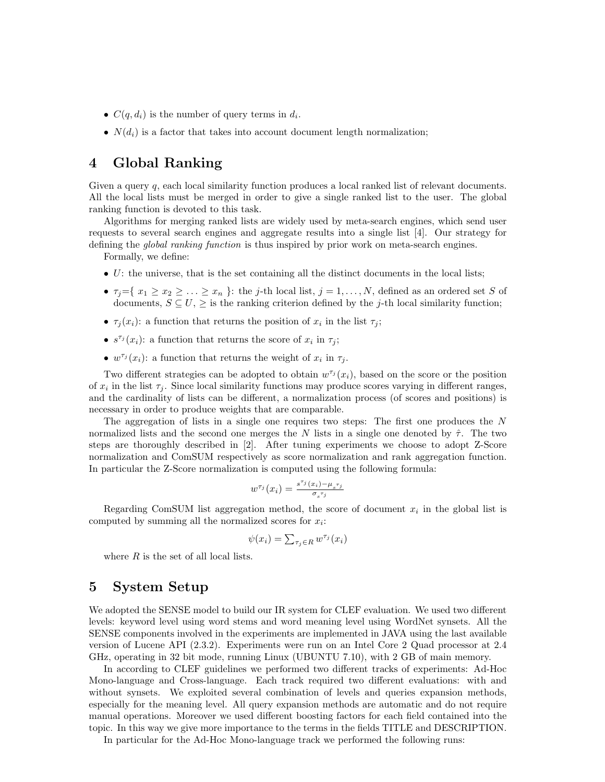- $C(q, d_i)$  is the number of query terms in  $d_i$ .
- $N(d_i)$  is a factor that takes into account document length normalization;

### 4 Global Ranking

Given a query q, each local similarity function produces a local ranked list of relevant documents. All the local lists must be merged in order to give a single ranked list to the user. The global ranking function is devoted to this task.

Algorithms for merging ranked lists are widely used by meta-search engines, which send user requests to several search engines and aggregate results into a single list [4]. Our strategy for defining the *global ranking function* is thus inspired by prior work on meta-search engines.

Formally, we define:

- $\bullet$  U: the universe, that is the set containing all the distinct documents in the local lists;
- $\tau_j = \{ x_1 \geq x_2 \geq \ldots \geq x_n \}$ : the j-th local list,  $j = 1, \ldots, N$ , defined as an ordered set S of documents,  $S \subseteq U$ ,  $\geq$  is the ranking criterion defined by the j-th local similarity function;
- $\tau_j(x_i)$ : a function that returns the position of  $x_i$  in the list  $\tau_j$ ;
- $s^{\tau_j}(x_i)$ : a function that returns the score of  $x_i$  in  $\tau_j$ ;
- $w^{\tau_j}(x_i)$ : a function that returns the weight of  $x_i$  in  $\tau_j$ .

Two different strategies can be adopted to obtain  $w^{\tau_j}(x_i)$ , based on the score or the position of  $x_i$  in the list  $\tau_j$ . Since local similarity functions may produce scores varying in different ranges, and the cardinality of lists can be different, a normalization process (of scores and positions) is necessary in order to produce weights that are comparable.

The aggregation of lists in a single one requires two steps: The first one produces the N normalized lists and the second one merges the N lists in a single one denoted by  $\hat{\tau}$ . The two steps are thoroughly described in [2]. After tuning experiments we choose to adopt Z-Score normalization and ComSUM respectively as score normalization and rank aggregation function. In particular the Z-Score normalization is computed using the following formula:

$$
w^{\tau_j}(x_i) = \frac{s^{\tau_j}(x_i) - \mu_s \tau_j}{\sigma_s \tau_j}
$$

Regarding ComSUM list aggregation method, the score of document  $x_i$  in the global list is computed by summing all the normalized scores for  $x_i$ :

$$
\psi(x_i) = \sum_{\tau_j \in R} w^{\tau_j}(x_i)
$$

where  $R$  is the set of all local lists.

### 5 System Setup

We adopted the SENSE model to build our IR system for CLEF evaluation. We used two different levels: keyword level using word stems and word meaning level using WordNet synsets. All the SENSE components involved in the experiments are implemented in JAVA using the last available version of Lucene API (2.3.2). Experiments were run on an Intel Core 2 Quad processor at 2.4 GHz, operating in 32 bit mode, running Linux (UBUNTU 7.10), with 2 GB of main memory.

In according to CLEF guidelines we performed two different tracks of experiments: Ad-Hoc Mono-language and Cross-language. Each track required two different evaluations: with and without synsets. We exploited several combination of levels and queries expansion methods, especially for the meaning level. All query expansion methods are automatic and do not require manual operations. Moreover we used different boosting factors for each field contained into the topic. In this way we give more importance to the terms in the fields TITLE and DESCRIPTION.

In particular for the Ad-Hoc Mono-language track we performed the following runs: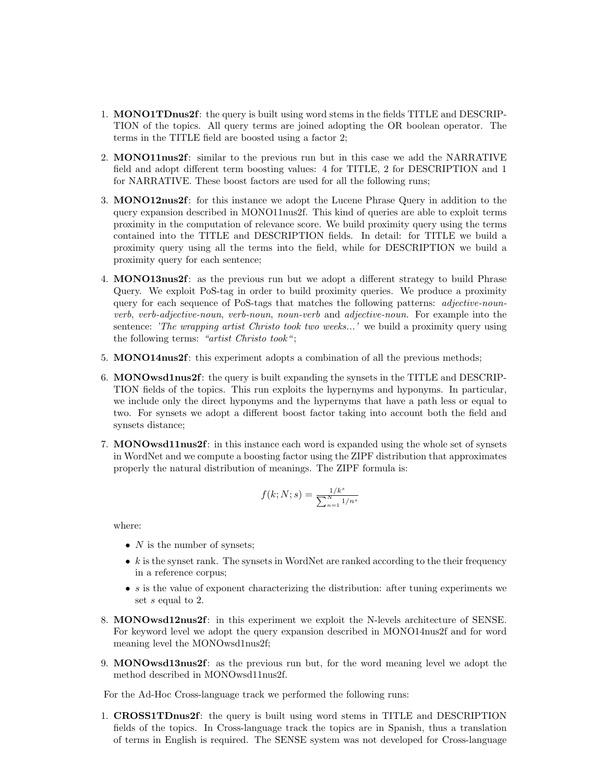- 1. MONO1TDnus2f: the query is built using word stems in the fields TITLE and DESCRIP-TION of the topics. All query terms are joined adopting the OR boolean operator. The terms in the TITLE field are boosted using a factor 2;
- 2. MONO11nus2f: similar to the previous run but in this case we add the NARRATIVE field and adopt different term boosting values: 4 for TITLE, 2 for DESCRIPTION and 1 for NARRATIVE. These boost factors are used for all the following runs;
- 3. MONO12nus2f: for this instance we adopt the Lucene Phrase Query in addition to the query expansion described in MONO11nus2f. This kind of queries are able to exploit terms proximity in the computation of relevance score. We build proximity query using the terms contained into the TITLE and DESCRIPTION fields. In detail: for TITLE we build a proximity query using all the terms into the field, while for DESCRIPTION we build a proximity query for each sentence;
- 4. MONO13nus2f: as the previous run but we adopt a different strategy to build Phrase Query. We exploit PoS-tag in order to build proximity queries. We produce a proximity query for each sequence of PoS-tags that matches the following patterns: *adjective-noun*verb, verb-adjective-noun, verb-noun, noun-verb and adjective-noun. For example into the sentence: 'The wrapping artist Christo took two weeks...' we build a proximity query using the following terms: "artist Christo took";
- 5. MONO14nus2f: this experiment adopts a combination of all the previous methods;
- 6. MONOwsd1nus2f: the query is built expanding the synsets in the TITLE and DESCRIP-TION fields of the topics. This run exploits the hypernyms and hyponyms. In particular, we include only the direct hyponyms and the hypernyms that have a path less or equal to two. For synsets we adopt a different boost factor taking into account both the field and synsets distance;
- 7. MONOwsd11nus2f: in this instance each word is expanded using the whole set of synsets in WordNet and we compute a boosting factor using the ZIPF distribution that approximates properly the natural distribution of meanings. The ZIPF formula is:

$$
f(k;N;s) = \frac{1/k^s}{\sum_{n=1}^{N} 1/n^s}
$$

where:

- $N$  is the number of synsets;
- $k$  is the synset rank. The synsets in WordNet are ranked according to the their frequency in a reference corpus;
- $s$  is the value of exponent characterizing the distribution: after tuning experiments we set s equal to 2.
- 8. MONOwsd12nus2f: in this experiment we exploit the N-levels architecture of SENSE. For keyword level we adopt the query expansion described in MONO14nus2f and for word meaning level the MONOwsd1nus2f;
- 9. MONOwsd13nus2f: as the previous run but, for the word meaning level we adopt the method described in MONOwsd11nus2f.

For the Ad-Hoc Cross-language track we performed the following runs:

1. CROSS1TDnus2f: the query is built using word stems in TITLE and DESCRIPTION fields of the topics. In Cross-language track the topics are in Spanish, thus a translation of terms in English is required. The SENSE system was not developed for Cross-language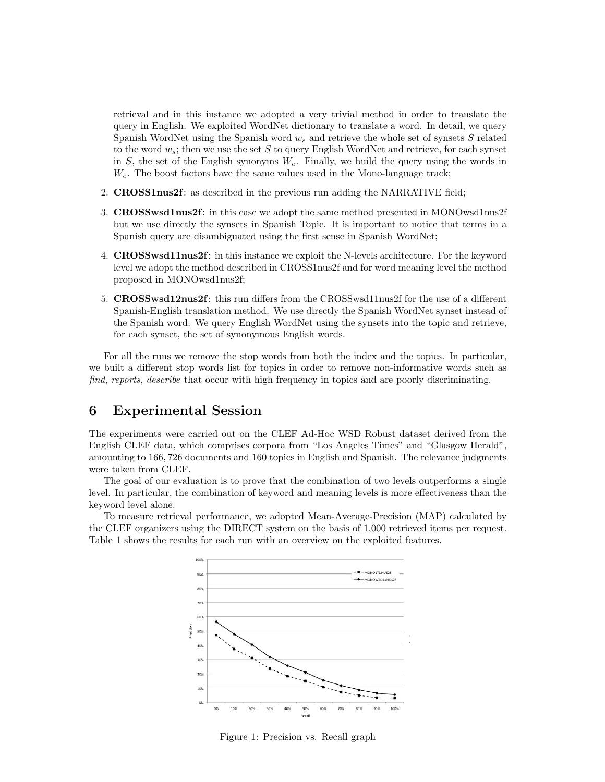retrieval and in this instance we adopted a very trivial method in order to translate the query in English. We exploited WordNet dictionary to translate a word. In detail, we query Spanish WordNet using the Spanish word  $w<sub>s</sub>$  and retrieve the whole set of synsets S related to the word  $w_s$ ; then we use the set S to query English WordNet and retrieve, for each synset in S, the set of the English synonyms  $W_e$ . Finally, we build the query using the words in  $W_e$ . The boost factors have the same values used in the Mono-language track;

- 2. CROSS1nus2f: as described in the previous run adding the NARRATIVE field;
- 3. CROSSwsd1nus2f: in this case we adopt the same method presented in MONOwsd1nus2f but we use directly the synsets in Spanish Topic. It is important to notice that terms in a Spanish query are disambiguated using the first sense in Spanish WordNet;
- 4. CROSSwsd11nus2f: in this instance we exploit the N-levels architecture. For the keyword level we adopt the method described in CROSS1nus2f and for word meaning level the method proposed in MONOwsd1nus2f;
- 5. CROSSwsd12nus2f: this run differs from the CROSSwsd11nus2f for the use of a different Spanish-English translation method. We use directly the Spanish WordNet synset instead of the Spanish word. We query English WordNet using the synsets into the topic and retrieve, for each synset, the set of synonymous English words.

For all the runs we remove the stop words from both the index and the topics. In particular, we built a different stop words list for topics in order to remove non-informative words such as find, reports, describe that occur with high frequency in topics and are poorly discriminating.

### 6 Experimental Session

The experiments were carried out on the CLEF Ad-Hoc WSD Robust dataset derived from the English CLEF data, which comprises corpora from "Los Angeles Times" and "Glasgow Herald", amounting to 166, 726 documents and 160 topics in English and Spanish. The relevance judgments were taken from CLEF.

The goal of our evaluation is to prove that the combination of two levels outperforms a single level. In particular, the combination of keyword and meaning levels is more effectiveness than the keyword level alone.

To measure retrieval performance, we adopted Mean-Average-Precision (MAP) calculated by the CLEF organizers using the DIRECT system on the basis of 1,000 retrieved items per request. Table 1 shows the results for each run with an overview on the exploited features.



Figure 1: Precision vs. Recall graph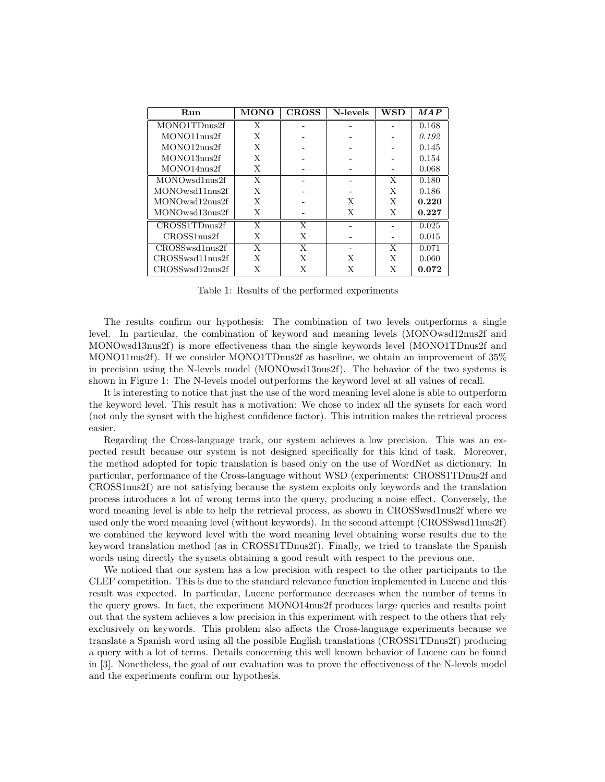| Run                     | <b>MONO</b> | <b>CROSS</b> | N-levels | <b>WSD</b> | MAP   |
|-------------------------|-------------|--------------|----------|------------|-------|
| MONO1TDnus2f            | X           |              |          |            | 0.168 |
| MONO11 <sub>nus2f</sub> | X           |              |          |            | 0.192 |
| MONO12nus2f             | X           |              |          |            | 0.145 |
| MONO13nus2f             | X           |              |          |            | 0.154 |
| MONO14nus2f             | X           |              |          |            | 0.068 |
| MONOwsd1nus2f           | X           |              |          | X          | 0.180 |
| MONOwsd11nus2f          | X           |              |          | X          | 0.186 |
| MONOwsd12nus2f          | X           |              | X        | X          | 0.220 |
| MONOwsd13nus2f          | Χ           |              | Х        | X          | 0.227 |
| CROSS1TDnus2f           | X           | X            |          |            | 0.025 |
| CROSS1nus2f             | X           | X            |          |            | 0.015 |
| CROSSwsd1nus2f          | X           | X            |          | X          | 0.071 |
| CROSSwsd11nus2f         | X           | X            | X        | X          | 0.060 |
| CROSSwsd12nus2f         | Х           | Х            | Х        | Х          | 0.072 |

Table 1: Results of the performed experiments

The results confirm our hypothesis: The combination of two levels outperforms a single level. In particular, the combination of keyword and meaning levels (MONOwsd12nus2f and MONOwsd13nus2f) is more effectiveness than the single keywords level (MONO1TDnus2f and MONO11nus2f). If we consider MONO1TDnus2f as baseline, we obtain an improvement of 35% in precision using the N-levels model (MONOwsd13nus2f). The behavior of the two systems is shown in Figure 1: The N-levels model outperforms the keyword level at all values of recall.

It is interesting to notice that just the use of the word meaning level alone is able to outperform the keyword level. This result has a motivation: We chose to index all the synsets for each word (not only the synset with the highest confidence factor). This intuition makes the retrieval process easier.

Regarding the Cross-language track, our system achieves a low precision. This was an expected result because our system is not designed specifically for this kind of task. Moreover, the method adopted for topic translation is based only on the use of WordNet as dictionary. In particular, performance of the Cross-language without WSD (experiments: CROSS1TDnus2f and CROSS1nus2f) are not satisfying because the system exploits only keywords and the translation process introduces a lot of wrong terms into the query, producing a noise effect. Conversely, the word meaning level is able to help the retrieval process, as shown in CROSSwsd1nus2f where we used only the word meaning level (without keywords). In the second attempt (CROSSwsd11nus2f) we combined the keyword level with the word meaning level obtaining worse results due to the keyword translation method (as in CROSS1TDnus2f). Finally, we tried to translate the Spanish words using directly the synsets obtaining a good result with respect to the previous one.

We noticed that our system has a low precision with respect to the other participants to the CLEF competition. This is due to the standard relevance function implemented in Lucene and this result was expected. In particular, Lucene performance decreases when the number of terms in the query grows. In fact, the experiment MONO14nus2f produces large queries and results point out that the system achieves a low precision in this experiment with respect to the others that rely exclusively on keywords. This problem also affects the Cross-language experiments because we translate a Spanish word using all the possible English translations (CROSS1TDnus2f) producing a query with a lot of terms. Details concerning this well known behavior of Lucene can be found in [3]. Nonetheless, the goal of our evaluation was to prove the effectiveness of the N-levels model and the experiments confirm our hypothesis.